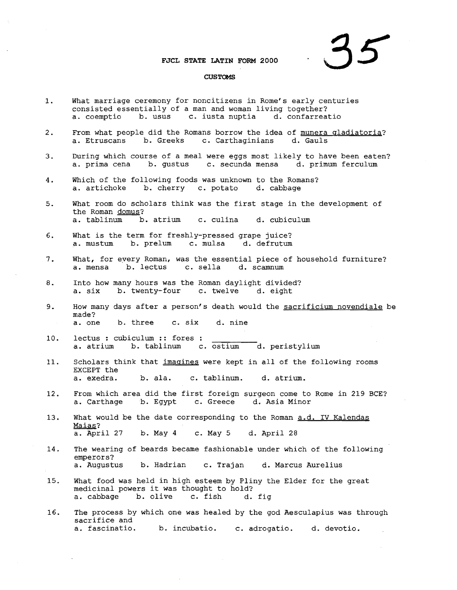## **FJCL STATE LATIN FORM 2000**

## **35**

## **CUSTOMS**

- 1. What marriage ceremony for noncitizens in Rome's early centuries consisted essentially of a man and woman living together?<br>a. coemptio b. usus c. iusta nuptia d. confarreatio a. coemptio b. usus
- 2. From what people did the Romans borrow the idea of munera gladiatoria?<br>
a. Etruscans b. Greeks c. Carthaginians d. Gauls c. Carthaginians
- 3. During which course of a meal were eggs most likely to have been eaten?<br>a. prima cena b. gustus c. secunda mensa d. primum ferculum c. secunda mensa d. primum ferculum
- 4. Which of the following foods was unknown to the Romans?<br>a. artichoke b. cherry c. potato d. cabbage b. cherry c. potato
- 5. What room do scholars think was the first stage in the development of the Roman domus?<br>a. tablinum b. b. atrium c. culina d. cubiculum
- 6. What is the term for freshly-pressed grape juice?<br>a. mustum b. prelum c. mulsa d. defrutum a. mustum b. prelum c. mulsa
- 7. What, for eyery Roman, was the essential piece of household furniture? a. mensa b. lectus c. sella d. scamnum
- 8. Into how many hours was the Roman daylight divided? a. six b. twenty-four c. twelve d. eight
- 9. How many days after a person's death would the sacrificium novendiale be made?<br>a. one b. three c. six d. nine
- 10. lectus : cubiculum :: fores a. atrium b. tablinum c. ostium d. peristylium
- 11. Scholars think that imagines were kept in all of the following rooms EXCEPT the<br>a. exedra. b. ala. c. tablinum. d. atrium.
- 12. From which area did the first foreign surgeon come to Rome in 219 BCE?<br>a. Carthage b. Egypt c. Greece d. Asia Minor d. Asia Minor
- 13. What would be the date corresponding to the Roman a.d. IV Kalendas Maias? a. April 27 b. May 4 c. May 5 d. April 28
- 14. The wearing of beards became fashionable under which of the following emperors?<br>a. Augustus b. Hadrian c. Trajan d. Marcus Aurelius
- 15. What food was held in high esteem by Pliny the Elder for the great medicinal powers it was thought to hold?<br>a. cabbage b. olive c. fish d. fig b. olive c. fish
- 16. The process by which one was healed by the god AeSCUlapius was through sacrifice and<br>a. fascinatio. b. incubatio. c. adrogatio. d. devotio.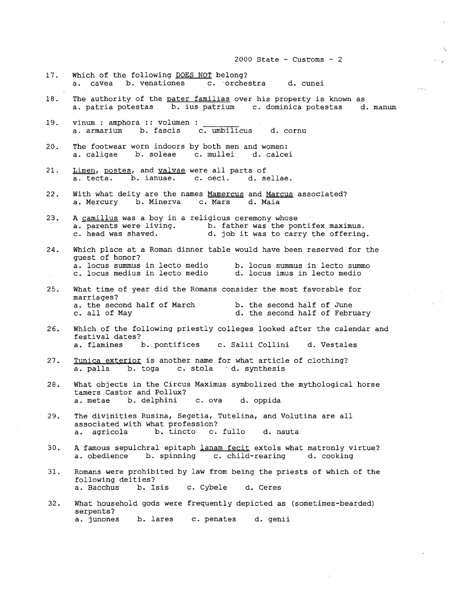2000 State - Customs -  $2$ 17. Which of the following DOES NOT belong? a. cavea b. venationes c. 'orchestra d. cunei 18. The authority of the pater familias over his property is known as a. patria potestas b. ius patrium c. dominica potestas d. manum 19. vinum: amphora :: volumen a. armarium b. fascis c. umbilicus d. cornu 20. The footwear worn indoors by both men and women:<br>a. caligae b. soleae c. mullei d. calce c. mullei d. calcei 21. Limen, postes, and valvae were all parts of a. tecta. b. ianuae. c. oeci. d. sellae. 22. With what deity are the names Mamercus and Marcus associated?<br>a. Mercury b. Minerva c. Mars d. Maia a. Mercury b. Minerva 23. A camillus was a boy in a religious ceremony whose a. parents were living. b. father was the pontifex maximus.<br>c. head was shaved. d. job it was to carry the offering d. job it was to carry the offering. 24. Which place at <sup>a</sup> Roman dinner table would have been reserved for the guest of honor?<br>a. locus summus in lecto medio b. locus summus in lecto summo<br>d. locus imus in lecto medio c. locus medius in lecto medio 25. What time of year did the Romans consider the most favorable for marriages? a. the second half of March c. all of May b. the second half of June d. the second half of February 26. Which of the following priestly colleges looked after the calendar and festival dates?<br>a. flamines 1 b. pontifices c. Salii Collini d. Vestales 27. Tunica exterior is another name for what article of clothing? a. palla b. toga c. stola d. synthesis 28. What objects in the Circus Maximus symbolized the mythological horse tamers Castor and Pollux?<br>a. metae b. delphini c. ova d. oppida 29. The divinities Rusina, Segetia, Tutelina, and Volutina are all associated with what profession?<br>a. agricola b. tincto c. c. fullo d. nauta 30. A famous sepulchral epitaph lanam fecit extols what matronly virtue? a. obedience b. spinning c. child-rearing d. cooking 31. Romans were prohibited by law from being the priests of which of the following deities?<br>a. Bacchus b. I b. Isis c. Cybele d. Ceres 32. What household gods were frequently depicted as (sometimes-bearded) serpents?

a. junones b. lares c. penates d. genii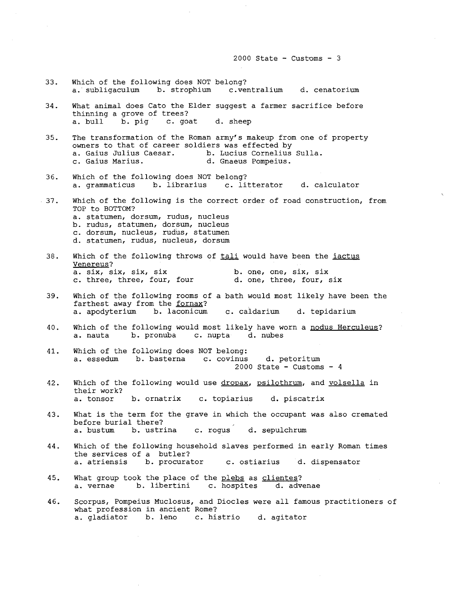$2000$  State - Customs - 3

33. Which of the following does NOT belong? a. subligaculum b. strophium c.ventralium d. cenatorium 34. What animal does Cato the Elder suggest a farmer sacrifice before thinning a grove of trees? a. bull b. pig c. goat d. sheep 35. The transformation of the Roman army's makeup from one of property owners to that of career soldiers was effected by<br>a. Gaius Julius Caesar. b. Lucius Cornelius a. Gaius Julius Caesar. b. Lucius Cornelius Sulla.<br>c. Gaius Marius. d. Gnaeus Pompeius. d. Gnaeus Pompeius. 36. Which of the following does NOT belong? a. grammaticus b. librarius c. litterator d. calculator 37. Which of the following is the correct order of road construction, from TOP to BOTTOM? a. statumen, dorsum, rudus, nucleus b. rudus, statumen, dorsum, nucleus c. dorsum, nucleus, rudus, statumen d. statumen, rudus, nucleus, dorsum 38. Which of the following throws of tali would have been the iactus Venereus? a. six, six, six, six<br>c. three, three, four, four d. one, three, four, six c. three, three, four, four 39. Which of the following rooms of a bath would most likely have been the farthest away from the fornax? a. apodyterium b. laconicum c. caldarium d. tepidarium 40. Which of the following would most likely have worn a nodus Herculeus? a. nauta b. pronuba c. nupta d. nubes 4l. Which of the following does NOT belong: a. essedum b. basterna c. covinus d. petoritum  $2000$  State - Customs -  $4$ 42. Which of the following would use dropax, psilothrum, and volsella in their work?<br>a. tonsor b. ornatrix c. topiarius d. piscatrix 43. What is the term for the grave in which the occupant was also cremated before burial there? a. bustum b. ustrina c. rogus d. sepulchrum 44. Which of the following household slaves performed in early Roman times the services of a butler? a. atriensis b. procurator c. ostiarius d. dispensator 45. What group took the place of the plebs as clientes? a. vernae b. libertini c. hospites d. advenae 46. Scorpus, Pompeius Muclosus, and Diocles were all famous practitioners of what profession in ancient Rome?<br>a. gladiator b. leno c. his c. histrio d. agitator